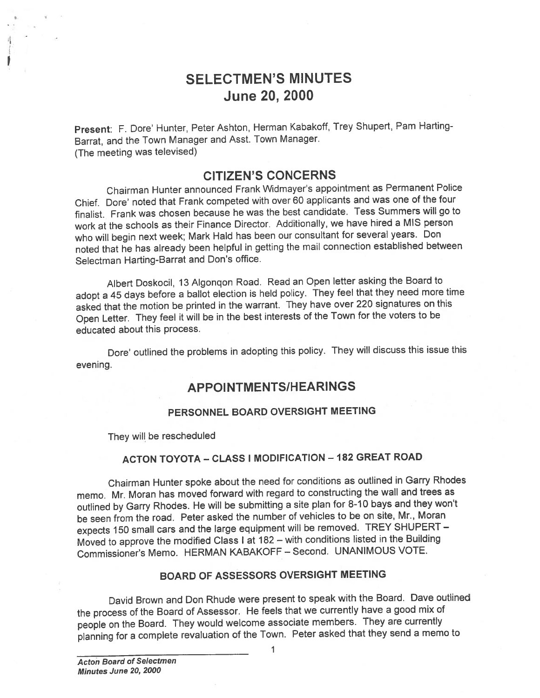# SELECTMEN'S MINUTES June 20, 2000

Present: F. Dore' Hunter, Peter Ashton, Herman Kabakoff, Trey Shupert, Pam Harting-Barrat, and the Town Manager and Asst. Town Manager. (The meeting was televised)

# CITIZEN'S CONCERNS

Chairman Hunter announced Frank Widmayer's appointment as Permanent Police Chief. Dote' noted that Frank competed with over <sup>60</sup> applicants and was one of the four finalist. Frank was chosen because he was the best candidate. Tess Summers will go to work at the schools as their Finance Director. Additionally, we have hired <sup>a</sup> MIS person who will begin next week; Mark Hald has been our consultant for several years. Don noted that he has already been helpful in getting the mail connection established between Selectman Harting-Barrat and Don's office.

Albert Doskocil, <sup>13</sup> Algonqon Road. Read an Open letter asking the Board to adopt <sup>a</sup> <sup>45</sup> days before <sup>a</sup> ballot election is held policy. They feel that they need more time asked that the motion be printed in the warrant. They have over <sup>220</sup> signatures on this Open Letter. They feel it will be in the best interests of the Town for the voters to be educated about this process.

Dote' outlined the problems in adopting this policy. They will discuss this issue this evening.

## APPOINTMENTSIHEARINGS

#### PERSONNEL BOARD OVERSIGHT MEETING

They will be rescheduled

#### ACTON TOYOTA - CLASS I MODIFICATION - 182 GREAT ROAD

Chairman Hunter spoke about the need for conditions as outlined in Garry Rhodes memo. Mr. Moran has moved forward with regar<sup>d</sup> to constructing the wall and trees as outlined by Garry Rhodes. He will be submitting <sup>a</sup> site <sup>p</sup>lan for 8-10 bays and they won't be seen from the road. Peter asked the number of vehicles to be on site, Mr., Moran expects <sup>150</sup> small cars and the large equipment will be removed. TREY SHUPERT — Moved to approve the modified Class <sup>I</sup> at <sup>182</sup> — with conditions listed in the Building Commissioner's Memo. HERMAN KABAKOFF — Second. UNANIMOUS VOTE.

### BOARD OF ASSESSORS OVERSIGHT MEETING

David Brown and Don Rhude were presen<sup>t</sup> to spea<sup>k</sup> with the Board. Dave outlined the process of the Board of Assessor. He feels that we currently have <sup>a</sup> goo<sup>d</sup> mix of people on the Board. They would welcome associate members. They are currently <sup>p</sup>lanning for <sup>a</sup> complete revaluation of the Town. Peter asked that they send <sup>a</sup> memo to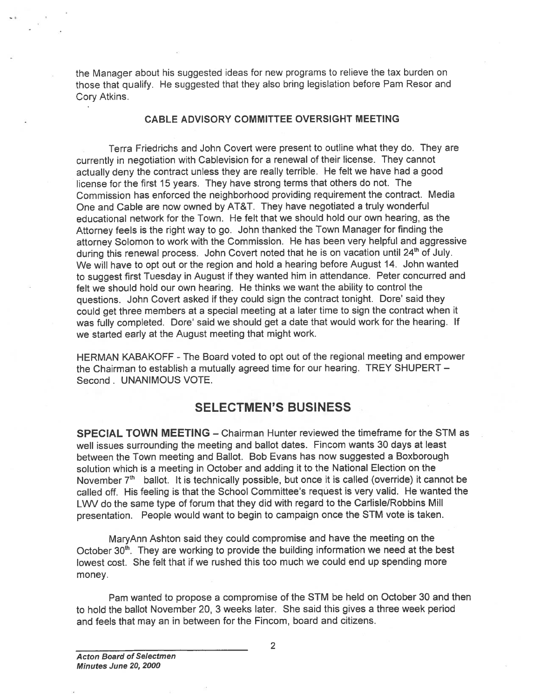the Manager about his suggested ideas for new programs to relieve the tax burden on those that qualify. He suggested that they also bring legislation before Pam Resor and Cory Atkins.

#### CABLE ADVISORY COMMITTEE OVERSIGHT MEETING

Terra Friedrichs and John Covert were presen<sup>t</sup> to outline what they do. They are currently in negotiation with Cablevision for <sup>a</sup> renewal of their license. They cannot actually deny the contract unless they are really terrible. He felt we have had <sup>a</sup> goo<sup>d</sup> license for the first 15 years. They have strong terms that others do not. The Commission has enforced the neighborhood providing requirement the contract. Media One and Cable are now owned by AT&T. They have negotiated <sup>a</sup> truly wonderful educational network for the Town. He felt that we should hold our own hearing, as the Attorney feels is the right way to go. John thanked the Town Manager for finding the attorney Solomon to work with the Commission. He has been very helpful and aggressive during this renewal process. John Covert noted that he is on vacation until 24<sup>th</sup> of July. We will have to op<sup>t</sup> out or the region and hold <sup>a</sup> hearing before August 14. John wanted to sugges<sup>t</sup> first Tuesday in August if they wanted him in attendance. Peter concurred and felt we should hold our own hearing. He thinks we want the ability to control the questions. John Covert asked if they could sign the contract tonight. Dore' said they could ge<sup>t</sup> three members at <sup>a</sup> special meeting at <sup>a</sup> later time to sign the contract when it was fully completed. Dore' said we should get a date that would work for the hearing. If we started early at the August meeting that might work. the Manager about his suggested ideas for new programs to relieve those that quality. He suggested that they also bring legislation before the CDCM Altime.<br>
Terrar Fincomician and cohence of the Fincome were present to col

HERMAN KABAKOFF -The Board voted to op<sup>t</sup> out of the regional meeting and empower the Chairman to establish <sup>a</sup> mutually agreed time for our hearing. TREY SHUPERT — Second. UNANIMOUS VOTE.

# SELECTMEN'S BUSINESS

SPECIAL TOWN MEETING — Chairman Hunter reviewed the timeframe for the STM as well issues surrounding the meeting and ballot dates. Fincom wants 30 days at least between the Town meeting and Ballot. Bob Evans has now suggested <sup>a</sup> Boxborough solution which is <sup>a</sup> meeting in October and adding it to the National Election on the November  $7<sup>th</sup>$  ballot. It is technically possible, but once it is called (override) it cannot be called off. His feeling is that the School Committee's reques<sup>t</sup> is very valid. He wanted the LWV do the same type of forum that they did with regard to the Carlisle/Robbins Mill presentation. People would want to begin to campaign once the STM vote is taken.

MaryAnn Ashton said they could compromise and have the meeting on the October 30<sup>th</sup>. They are working to provide the building information we need at the best lowest cost. She felt that if we rushed this too much we could end up spending mote money.

Pam wanted to propose <sup>a</sup> compromise of the STM be held on October 30 and then to hold the ballot November 20, 3 weeks later. She said this gives <sup>a</sup> three week period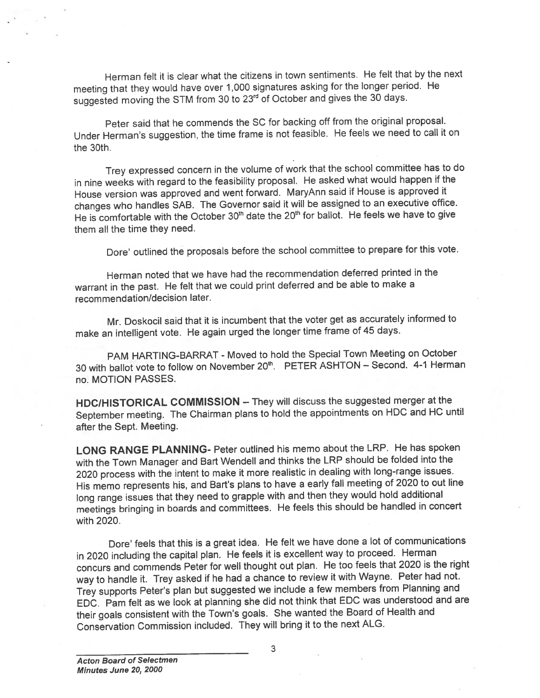Herman felt it is clear what the citizens in town sentiments. He felt that by the next meeting that they would have over 1,000 signatures asking for the longer period. He suggested moving the STM from 30 to 23<sup>rd</sup> of October and gives the 30 days.

Peter said that he commends the SC for backing off from the original proposal. Under Herman's suggestion, the time frame is not feasible. He feels we need to call it on the 30th.

Trey expresse<sup>d</sup> concern in the volume of work that the school committee has to do in nine weeks with regar<sup>d</sup> to the feasibility proposal. He asked what would happen if the House version was approve<sup>d</sup> and went forward. MaryAnn said if House is approve<sup>d</sup> it changes who handles SAB. The Governor said it will be assigned to an executive office. He is comfortable with the October 30<sup>th</sup> date the 20<sup>th</sup> for ballot. He feels we have to give them all the time they need.

Dore' outlined the proposals before the school committee to prepare for this vote.

Herman noted that we have had the recommendation deferred printed in the warrant in the past. He felt that we could print deferred and be able to make <sup>a</sup> recommendation/decision later.

Mr. Doskocil said that it is incumbent that the voter ge<sup>t</sup> as accurately informed to make an intelligent vote. He again urge<sup>d</sup> the longer time frame of <sup>45</sup> days.

PAM HARTING-BARRAT - Moved to hold the Special Town Meeting on October 30 with ballot vote to follow on November 20<sup>th</sup>. PETER ASHTON - Second. 4-1 Herman no. MOTION PASSES.

HDCIHISTORICAL COMMISSION — They will discuss the suggested merger at the September meeting. The Chairman <sup>p</sup>lans to hold the appointments on HDC and HC until after the Sept. Meeting.

LONG RANGE PLANNING- Peter outlined his memo about the LRP. He has spoken with the Town Manager and Bart Wendell and thinks the LRP should be folded into the <sup>2020</sup> process with the intent to make it more realistic in dealing with long-range issues. His memo represents his, and Bart's plans to have a early fall meeting of 2020 to out line long range issues that they need to grapple with and then they would hold additional meetings bringing in boards and committees. He feels this should be handled in concert with 2020.

Dore' feels that this is <sup>a</sup> grea<sup>t</sup> idea. He felt we have done <sup>a</sup> lot of communications in <sup>2020</sup> including the capital <sup>p</sup>lan. He feels it is excellent way to proceed. Herman concurs and commends Peter for well thought out <sup>p</sup>lan. He too feels that <sup>2020</sup> is the right way to handle it. Trey asked if he had <sup>a</sup> chance to review it with Wayne. Peter had not. Trey supports Peter's <sup>p</sup>lan but suggested we include <sup>a</sup> few members from Planning and EDC. Pam felt as we look at <sup>p</sup>lanning she did not think that EDC was understood and are their goals consistent with the Town's goals. She wanted the Board of Health and Conservation Commission included. They will bring it to the next ALG.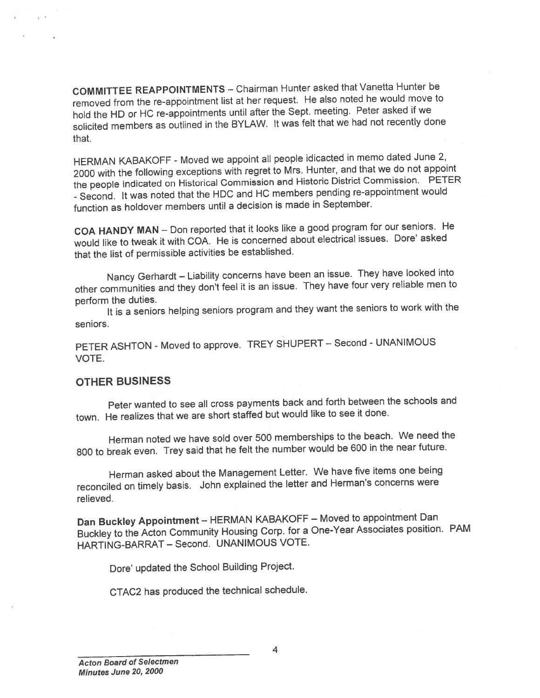COMMITTEE REAPPOINTMENTS — Chairman Hunter asked that Vanetta Hunter be removed from the re-appointment list at her request. He also noted he would move to hold the HD or HC re-appointments until after the Sept. meeting. Peter asked if we solicited members as outlined in the BYLAW. It was felt that we had not recently done that.

HERMAN KABAKOFF - Moved we appoint all people idicacted in memo dated June 2, <sup>2000</sup> with the following exceptions with regre<sup>t</sup> to Mrs. Hunter, and that we do not appoint the people indicated on Historical Commission and Historic District Commission. PETER -Second. It was noted that the HDC and HC members pending re-appointment would function as holdover members until <sup>a</sup> decision is made in September.

COA HANDY MAN - Don reported that it looks like a good program for our seniors. He would like to tweak it with COA. He is concerned about electrical issues. Dore' asked that the list of permissible activities be established.

Nancy Gerhardt — Liability concerns have been an issue. They have looked into other communities and they don't feel it is an issue. They have four very reliable men to perform the duties.

It is <sup>a</sup> seniors helping seniors program and they want the seniors to work with the seniors.

PETER ASHTON - Moved to approve. TREY SHUPERT - Second - UNANIMOUS VOTE.

#### OTHER BUSINESS

Peter wanted to see all cross payments back and forth between the schools and town. He realizes that we are short staffed but would like to see it done.

Herman noted we have sold over <sup>500</sup> memberships to the beach. We need the <sup>800</sup> to break even. Trey said that he felt the number would be <sup>600</sup> in the neat future.

Herman asked about the Management Letter. We have five items one being reconciled on timely basis. John explained the letter and Herman's concerns were relieved.

Dan Buckley Appointment — HERMAN KABAKOFF — Moved to appointment Dan Buckley to the Acton Community Housing Corp. for <sup>a</sup> One-Year Associates position. PAM HARTING-BARRAT - Second. UNANIMOUS VOTE.

Dote' updated the School Building Project.

CTAC2 has produced the technical schedule.